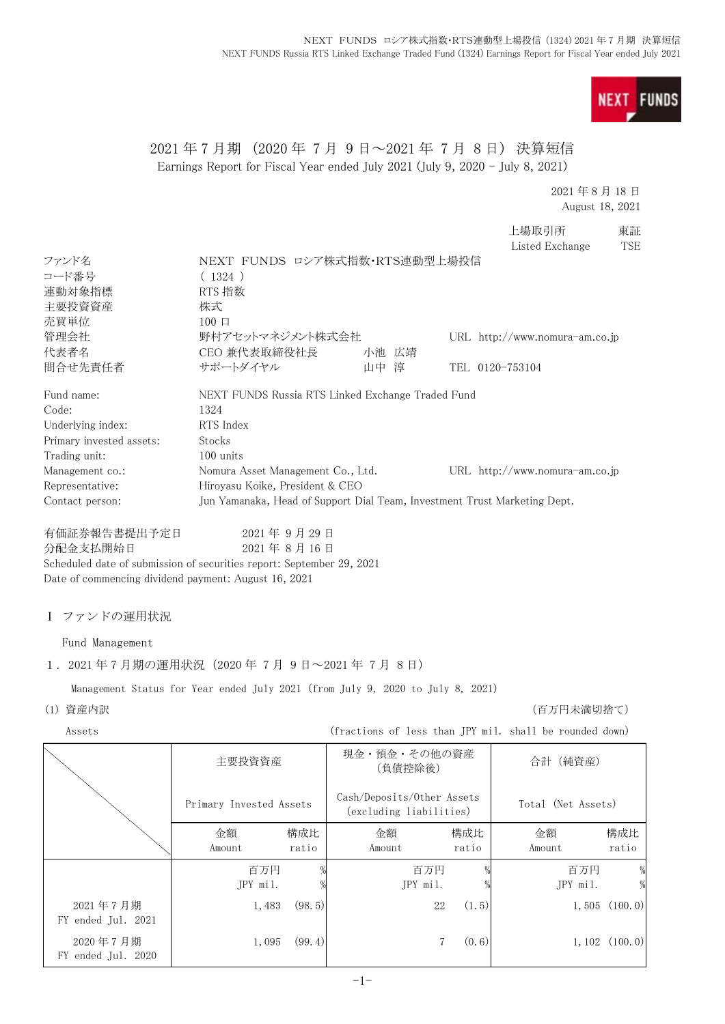

# 2021 年 7 月期 (2020 年 7 月 9 日~2021 年 7 月 8 日) 決算短信 Earnings Report for Fiscal Year ended July 2021 (July 9, 2020 - July 8, 2021)

### 2021 年 8 月 18 日 August 18, 2021

上場取引所 東証 Listed Exchange TSE

| ファンド名                                                                          | NEXT FUNDS ロシア株式指数·RTS連動型上場投信                                             |            |        |                            |       |                                                         |                    |
|--------------------------------------------------------------------------------|---------------------------------------------------------------------------|------------|--------|----------------------------|-------|---------------------------------------------------------|--------------------|
| コード番号                                                                          | (1324)                                                                    |            |        |                            |       |                                                         |                    |
| 連動対象指標                                                                         | RTS 指数                                                                    |            |        |                            |       |                                                         |                    |
| 主要投資資産                                                                         | 株式                                                                        |            |        |                            |       |                                                         |                    |
| 売買単位                                                                           | $100 \Box$                                                                |            |        |                            |       |                                                         |                    |
| 管理会社                                                                           | 野村アセットマネジメント株式会社                                                          |            |        |                            |       | URL http://www.nomura-am.co.jp                          |                    |
| 代表者名                                                                           | CEO 兼代表取締役社長                                                              |            |        | 小池 広靖                      |       |                                                         |                    |
| 問合せ先責任者                                                                        | サポートダイヤル                                                                  |            | 山中 淳   |                            |       | TEL 0120-753104                                         |                    |
| Fund name:                                                                     | NEXT FUNDS Russia RTS Linked Exchange Traded Fund                         |            |        |                            |       |                                                         |                    |
| Code:                                                                          | 1324                                                                      |            |        |                            |       |                                                         |                    |
| Underlying index:                                                              | RTS Index                                                                 |            |        |                            |       |                                                         |                    |
| Primary invested assets:                                                       | Stocks                                                                    |            |        |                            |       |                                                         |                    |
| Trading unit:                                                                  | 100 units                                                                 |            |        |                            |       |                                                         |                    |
| Management co.:                                                                | Nomura Asset Management Co., Ltd.                                         |            |        |                            |       | URL http://www.nomura-am.co.jp                          |                    |
| Representative:                                                                | Hiroyasu Koike, President & CEO                                           |            |        |                            |       |                                                         |                    |
| Contact person:                                                                | Jun Yamanaka, Head of Support Dial Team, Investment Trust Marketing Dept. |            |        |                            |       |                                                         |                    |
| 有価証券報告書提出予定日                                                                   |                                                                           | 2021年9月29日 |        |                            |       |                                                         |                    |
| 分配金支払開始日                                                                       |                                                                           | 2021年8月16日 |        |                            |       |                                                         |                    |
| Scheduled date of submission of securities report: September 29, 2021          |                                                                           |            |        |                            |       |                                                         |                    |
| Date of commencing dividend payment: August 16, 2021                           |                                                                           |            |        |                            |       |                                                         |                    |
|                                                                                |                                                                           |            |        |                            |       |                                                         |                    |
| I ファンドの運用状況                                                                    |                                                                           |            |        |                            |       |                                                         |                    |
| Fund Management                                                                |                                                                           |            |        |                            |       |                                                         |                    |
| 1. 2021年7月期の運用状況 (2020年7月9日~2021年7月8日)                                         |                                                                           |            |        |                            |       |                                                         |                    |
| Management Status for Year ended July 2021 (from July 9, 2020 to July 8, 2021) |                                                                           |            |        |                            |       |                                                         |                    |
| (1) 資産内訳                                                                       |                                                                           |            |        |                            |       | (百万円未満切捨て)                                              |                    |
| Assets                                                                         |                                                                           |            |        |                            |       | (fractions of less than JPY mil. shall be rounded down) |                    |
|                                                                                | 主要投資資産                                                                    |            |        | 現金・預金・その他の資産               |       | 合計(純資産)                                                 |                    |
|                                                                                |                                                                           |            |        | (負債控除後)                    |       |                                                         |                    |
|                                                                                | Primary Invested Assets                                                   |            |        | Cash/Deposits/Other Assets |       | Total (Net Assets)                                      |                    |
|                                                                                |                                                                           |            |        | (excluding liabilities)    |       |                                                         |                    |
|                                                                                | 金額                                                                        | 構成比        | 金額     |                            | 構成比   | 金額                                                      | 構成比                |
|                                                                                | Amount                                                                    | ratio      | Amount |                            | ratio | Amount                                                  | ratio              |
|                                                                                | 百万円                                                                       | %          |        | 百万円                        |       | 百万円                                                     | $\frac{0}{2}$      |
|                                                                                | JPY mil.                                                                  |            |        | JPY mil.                   |       | JPY mil.                                                | $\frac{0}{2}$      |
| 2021年7月期                                                                       | 1,483                                                                     | (98, 5)    |        | 22                         | (1.5) | 1,505                                                   | (100.0)            |
| FY ended Jul. 2021                                                             |                                                                           |            |        |                            |       |                                                         |                    |
| 2020年7月期                                                                       | 1,095                                                                     | (99.4)     |        | 7                          | (0.6) |                                                         | $1, 102$ $(100.0)$ |
| FY ended Jul. 2020                                                             |                                                                           |            |        |                            |       |                                                         |                    |
|                                                                                |                                                                           |            |        |                            |       |                                                         |                    |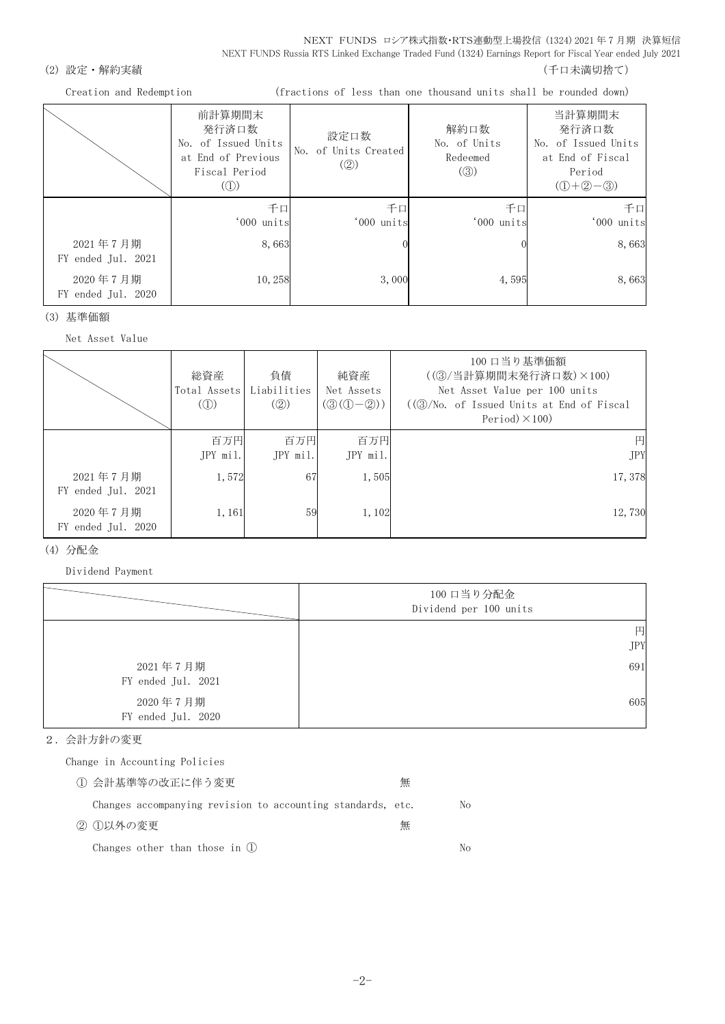NEXT FUNDS ロシア株式指数・RTS連動型上場投信 (1324) 2021 年 7 月期 決算短信 NEXT FUNDS Russia RTS Linked Exchange Traded Fund (1324) Earnings Report for Fiscal Year ended July 2021

### (2) 設定・解約実績 (2) またまま (1) これには はんしゃ (1) これには はんしょう (千口未満切捨て)

Creation and Redemption (fractions of less than one thousand units shall be rounded down)

|                                | 前計算期間末<br>発行済口数<br>No. of Issued Units<br>at End of Previous<br>Fiscal Period<br>$\left( \begin{smallmatrix} 1 \\ 1 \end{smallmatrix} \right)$ | 設定口数<br>No. of Units Created<br>(Q) | 解約口数<br>No. of Units<br>Redeemed<br>$\left( \circled{3}\right)$ | 当計算期間末<br>発行済口数<br>No. of Issued Units<br>at End of Fiscal<br>Period<br>$(D+2-3)$ |
|--------------------------------|------------------------------------------------------------------------------------------------------------------------------------------------|-------------------------------------|-----------------------------------------------------------------|-----------------------------------------------------------------------------------|
|                                | 千口<br>'000 units                                                                                                                               | 千口<br>'000 units                    | 千口<br>'000 units                                                | 千口<br>'000 units                                                                  |
| 2021年7月期<br>FY ended Jul. 2021 | 8,663                                                                                                                                          |                                     |                                                                 | 8,663                                                                             |
| 2020年7月期<br>FY ended Jul. 2020 | 10,258                                                                                                                                         | 3,000                               | 4,595                                                           | 8,663                                                                             |

(3) 基準価額

Net Asset Value

|                                | 総資産<br>Total Assets<br>$\mathcal{L}(\mathbb{D})$ | 負債<br>Liabilities<br>(Q) | 純資産<br>Net Assets<br>$(③(①-②))$ | 100 口当り基準価額<br>((3) 当計算期間末発行済口数) ×100)<br>Net Asset Value per 100 units<br>$((\textcircled{3}/\text{No. of Is sued Units at End of Fiscal})$<br>Period $)\times$ 100) |
|--------------------------------|--------------------------------------------------|--------------------------|---------------------------------|-----------------------------------------------------------------------------------------------------------------------------------------------------------------------|
|                                | 百万円<br>$JPY$ mil.                                | 百万円<br>JPY mil.          | 百万円<br>JPY mil.                 | 円<br><b>JPY</b>                                                                                                                                                       |
| 2021年7月期<br>FY ended Jul. 2021 | 1,572                                            | 67                       | 1,505                           | 17,378                                                                                                                                                                |
| 2020年7月期<br>FY ended Jul. 2020 | 1,161                                            | 59                       | 1,102                           | 12,730                                                                                                                                                                |

### (4) 分配金

Dividend Payment

|                                | 100 口当り分配金<br>Dividend per 100 units |
|--------------------------------|--------------------------------------|
|                                | 円<br><b>JPY</b>                      |
| 2021年7月期<br>FY ended Jul. 2021 | 691                                  |
| 2020年7月期<br>FY ended Jul. 2020 | 605                                  |

### 2.会計方針の変更

Change in Accounting Policies

| ① 会計基準等の改正に伴う変更                                             | 無 |    |
|-------------------------------------------------------------|---|----|
| Changes accompanying revision to accounting standards, etc. |   | No |
| ② ①以外の変更                                                    | 無 |    |
| Changes other than those in $(l)$                           |   | Nο |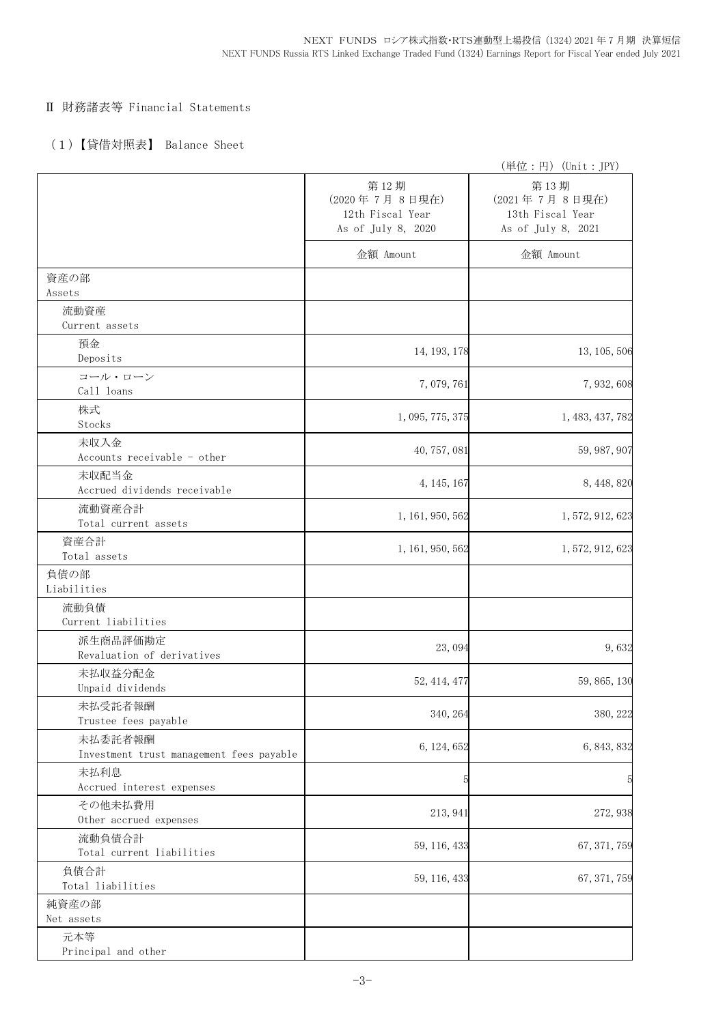## Ⅱ 財務諸表等 Financial Statements

# (1)【貸借対照表】 Balance Sheet

|                                                     |                                                                 | (単位:円) (Unit:JPY)                                               |
|-----------------------------------------------------|-----------------------------------------------------------------|-----------------------------------------------------------------|
|                                                     | 第12期<br>(2020年7月8日現在)<br>12th Fiscal Year<br>As of July 8, 2020 | 第13期<br>(2021年7月8日現在)<br>13th Fiscal Year<br>As of July 8, 2021 |
|                                                     | 金額 Amount                                                       | 金額 Amount                                                       |
| 資産の部<br>Assets                                      |                                                                 |                                                                 |
| 流動資産                                                |                                                                 |                                                                 |
| Current assets                                      |                                                                 |                                                                 |
| 預金<br>Deposits                                      | 14, 193, 178                                                    | 13, 105, 506                                                    |
| コール・ローン<br>Call loans                               | 7,079,761                                                       | 7, 932, 608                                                     |
| 株式<br>Stocks                                        | 1, 095, 775, 375                                                | 1, 483, 437, 782                                                |
| 未収入金<br>Accounts receivable - other                 | 40, 757, 081                                                    | 59, 987, 907                                                    |
| 未収配当金<br>Accrued dividends receivable               | 4, 145, 167                                                     | 8, 448, 820                                                     |
| 流動資産合計<br>Total current assets                      | 1, 161, 950, 562                                                | 1, 572, 912, 623                                                |
| 資産合計<br>Total assets                                | 1, 161, 950, 562                                                | 1, 572, 912, 623                                                |
| 負債の部<br>Liabilities                                 |                                                                 |                                                                 |
| 流動負債<br>Current liabilities                         |                                                                 |                                                                 |
| 派生商品評価勘定<br>Revaluation of derivatives              | 23,094                                                          | 9,632                                                           |
| 未払収益分配金<br>Unpaid dividends                         | 52, 414, 477                                                    | 59, 865, 130                                                    |
| 未払受託者報酬<br>Trustee fees payable                     | 340, 264                                                        | 380, 222                                                        |
| 未払委託者報酬<br>Investment trust management fees payable | 6, 124, 652                                                     | 6, 843, 832                                                     |
| 未払利息<br>Accrued interest expenses                   | 5                                                               | 5                                                               |
| その他未払費用<br>Other accrued expenses                   | 213, 941                                                        | 272, 938                                                        |
| 流動負債合計<br>Total current liabilities                 | 59, 116, 433                                                    | 67, 371, 759                                                    |
| 負債合計<br>Total liabilities                           | 59, 116, 433                                                    | 67, 371, 759                                                    |
| 純資産の部<br>Net assets                                 |                                                                 |                                                                 |
| 元本等<br>Principal and other                          |                                                                 |                                                                 |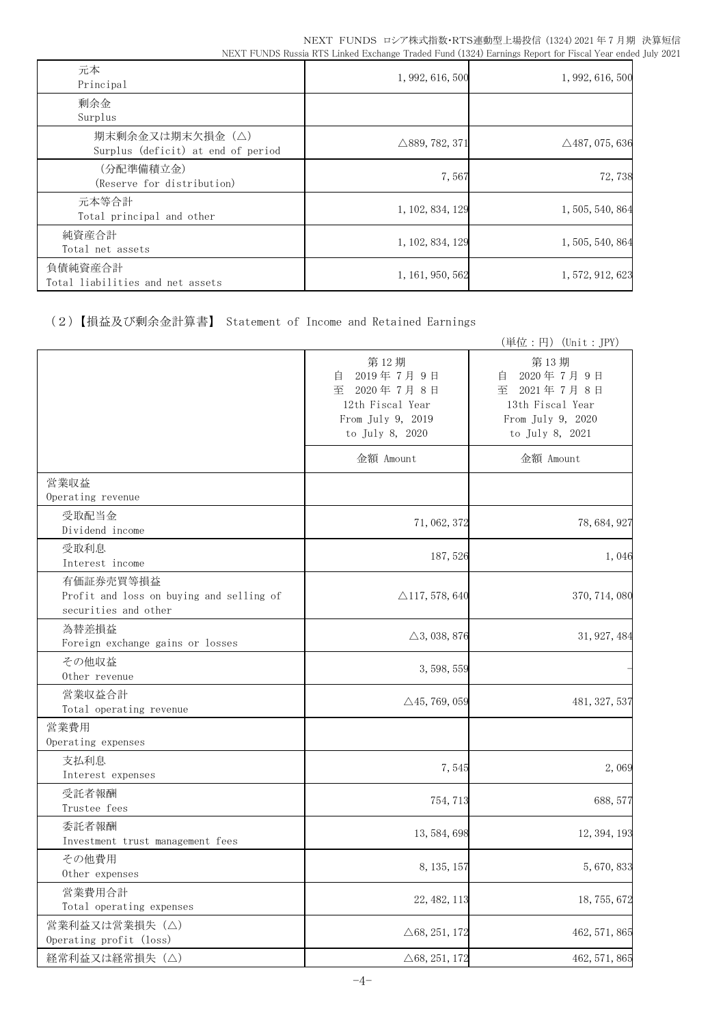| 元本<br>Principal                                       | 1, 992, 616, 500          | 1, 992, 616, 500          |
|-------------------------------------------------------|---------------------------|---------------------------|
| 剰余金<br>Surplus                                        |                           |                           |
| 期末剰余金又は期末欠損金(△)<br>Surplus (deficit) at end of period | $\triangle$ 889, 782, 371 | $\triangle$ 487, 075, 636 |
| (分配準備積立金)<br>(Reserve for distribution)               | 7,567                     | 72,738                    |
| 元本等合計<br>Total principal and other                    | 1, 102, 834, 129          | 1, 505, 540, 864          |
| 純資産合計<br>Total net assets                             | 1, 102, 834, 129          | 1, 505, 540, 864          |
| 負債純資産合計<br>Total liabilities and net assets           | 1, 161, 950, 562          | 1, 572, 912, 623          |

(2)【損益及び剰余金計算書】 Statement of Income and Retained Earnings

|                                                                               |                                                                                                   | (単位:円) (Unit: JPY)                                                                                |
|-------------------------------------------------------------------------------|---------------------------------------------------------------------------------------------------|---------------------------------------------------------------------------------------------------|
|                                                                               | 第12期<br>2019年7月9日<br>自<br>至 2020年7月8日<br>12th Fiscal Year<br>From July 9, 2019<br>to July 8, 2020 | 第13期<br>2020年7月9日<br>自<br>至 2021年7月8日<br>13th Fiscal Year<br>From July 9, 2020<br>to July 8, 2021 |
|                                                                               | 金額 Amount                                                                                         | 金額 Amount                                                                                         |
| 営業収益<br>Operating revenue                                                     |                                                                                                   |                                                                                                   |
| 受取配当金<br>Dividend income                                                      | 71, 062, 372                                                                                      | 78, 684, 927                                                                                      |
| 受取利息<br>Interest income                                                       | 187, 526                                                                                          | 1,046                                                                                             |
| 有価証券売買等損益<br>Profit and loss on buying and selling of<br>securities and other | $\triangle$ 117, 578, 640                                                                         | 370, 714, 080                                                                                     |
| 為替差損益<br>Foreign exchange gains or losses                                     | $\triangle$ 3, 038, 876                                                                           | 31, 927, 484                                                                                      |
| その他収益<br>Other revenue                                                        | 3, 598, 559                                                                                       |                                                                                                   |
| 営業収益合計<br>Total operating revenue                                             | $\triangle$ 45, 769, 059                                                                          | 481, 327, 537                                                                                     |
| 営業費用<br>Operating expenses                                                    |                                                                                                   |                                                                                                   |
| 支払利息<br>Interest expenses                                                     | 7,545                                                                                             | 2,069                                                                                             |
| 受託者報酬<br>Trustee fees                                                         | 754, 713                                                                                          | 688, 577                                                                                          |
| 委託者報酬<br>Investment trust management fees                                     | 13, 584, 698                                                                                      | 12, 394, 193                                                                                      |
| その他費用<br>Other expenses                                                       | 8, 135, 157                                                                                       | 5,670,833                                                                                         |
| 営業費用合計<br>Total operating expenses                                            | 22, 482, 113                                                                                      | 18, 755, 672                                                                                      |
| 営業利益又は営業損失 (△)<br>Operating profit (loss)                                     | $\triangle 68, 251, 172$                                                                          | 462, 571, 865                                                                                     |
| 経常利益又は経常損失 (△)                                                                | $\triangle 68, 251, 172$                                                                          | 462, 571, 865                                                                                     |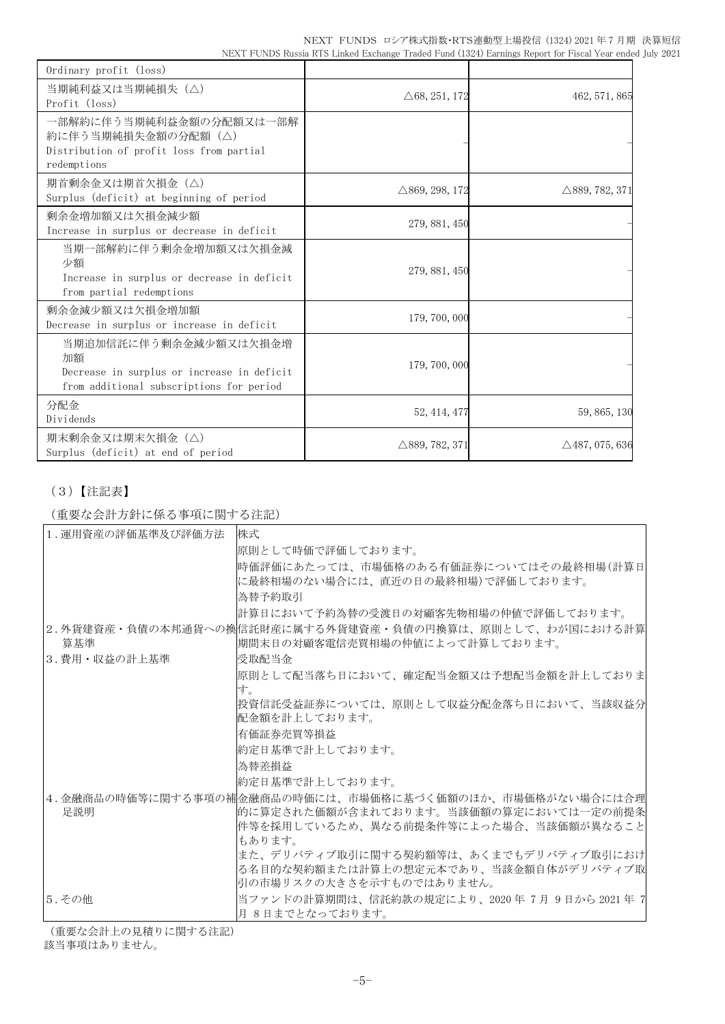|                                                                                                          | NEXT FUNDS ロシア株式指数・RTS連動型上場投信 (1324) 2021 年7月期 決算短信 |  |  |
|----------------------------------------------------------------------------------------------------------|-----------------------------------------------------|--|--|
| NEXT FUNDS Russia RTS Linked Exchange Traded Fund (1324) Earnings Report for Fiscal Year ended July 2021 |                                                     |  |  |

| Ordinary profit (loss)                                                                                                |                           |                           |
|-----------------------------------------------------------------------------------------------------------------------|---------------------------|---------------------------|
| 当期純利益又は当期純損失 (△)<br>Profit (loss)                                                                                     | $\triangle 68, 251, 172$  | 462, 571, 865             |
| 一部解約に伴う当期純利益金額の分配額又は一部解<br>約に伴う当期純損失金額の分配額(△)<br>Distribution of profit loss from partial<br>redemptions              |                           |                           |
| 期首剰余金又は期首欠損金(△)<br>Surplus (deficit) at beginning of period                                                           | $\triangle$ 869, 298, 172 | $\triangle$ 889, 782, 371 |
| 剰余金増加額又は欠損金減少額<br>Increase in surplus or decrease in deficit                                                          | 279, 881, 450             |                           |
| 当期一部解約に伴う剰余金増加額又は欠損金減<br>少額<br>Increase in surplus or decrease in deficit<br>from partial redemptions                 | 279, 881, 450             |                           |
| 剰余金減少額又は欠損金増加額<br>Decrease in surplus or increase in deficit                                                          | 179, 700, 000             |                           |
| 当期追加信託に伴う剰余金減少額又は欠損金増<br>加額<br>Decrease in surplus or increase in deficit<br>from additional subscriptions for period | 179, 700, 000             |                           |
| 分配金<br>Dividends                                                                                                      | 52, 414, 477              | 59, 865, 130              |
| 期末剰余金又は期末欠損金(△)<br>Surplus (deficit) at end of period                                                                 | $\triangle$ 889, 782, 371 | $\triangle$ 487, 075, 636 |

# (3)【注記表】

(重要な会計方針に係る事項に関する注記)

| 1. 運用資産の評価基準及び評価方法 | 株式                                                                                                                                                    |
|--------------------|-------------------------------------------------------------------------------------------------------------------------------------------------------|
|                    | 原則として時価で評価しております。                                                                                                                                     |
|                    | 時価評価にあたっては、市場価格のある有価証券についてはその最終相場(計算日<br> に最終相場のない場合には、直近の日の最終相場)で評価しております。                                                                           |
|                    | 為替予約取引                                                                                                                                                |
|                    | 計算日において予約為替の受渡日の対顧客先物相場の仲値で評価しております。                                                                                                                  |
| 算基準                | 2.外貨建資産・負債の本邦通貨への換信託財産に属する外貨建資産・負債の円換算は、原則として、わが国における計算<br> 期間末日の対顧客電信売買相場の仲値によって計算しております。                                                            |
| 3. 費用・収益の計上基準      | 受取配当金                                                                                                                                                 |
|                    | 原則として配当落ち日において、確定配当金額又は予想配当金額を計上しておりま<br>す。                                                                                                           |
|                    | 投資信託受益証券については、原則として収益分配金落ち日において、当該収益分 <br> 配金額を計上しております。                                                                                              |
|                    | 有価証券売買等損益                                                                                                                                             |
|                    | 約定日基準で計上しております。                                                                                                                                       |
|                    | 為替差損益                                                                                                                                                 |
|                    | 約定日基準で計上しております。                                                                                                                                       |
| 足説明                | 4.金融商品の時価等に関する事項の補金融商品の時価には、市場価格に基づく価額のほか、市場価格がない場合には合理<br> 的に算定された価額が含まれております。当該価額の算定においては一定の前提条<br> 件等を採用しているため、異なる前提条件等によった場合、当該価額が異なること<br>もあります。 |
|                    | また、デリバティブ取引に関する契約額等は、あくまでもデリバティブ取引におけ <br> る名目的な契約額または計算上の想定元本であり、当該金額自体がデリバティブ取 <br>同の市場リスクの大きさを示すものではありません。                                         |
| 5.その他              | 当ファンドの計算期間は、信託約款の規定により、2020年 7月 9日から 2021 年 7 <br> 月 8日までとなっております。                                                                                    |

(重要な会計上の見積りに関する注記)

該当事項はありません。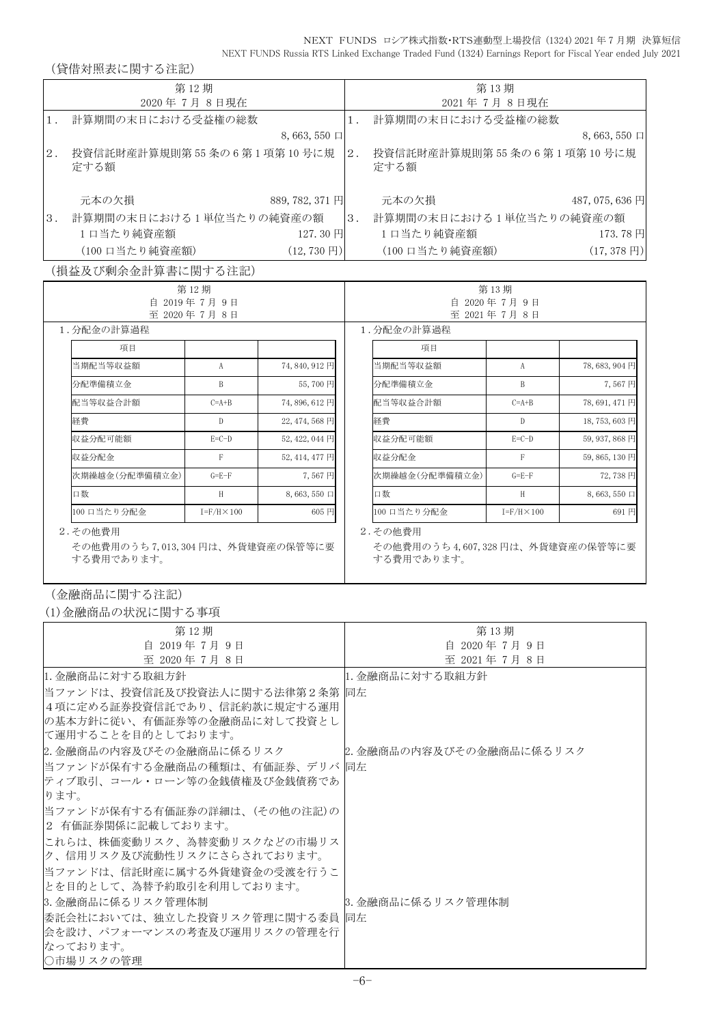(貸借対照表に関する注記)

|       | \ 貝 旧 ハ ) ハハ 少、 トー   ス / ^ シ   土     ロ /                 |                      |                          |                            |                                                          |                      |                       |
|-------|----------------------------------------------------------|----------------------|--------------------------|----------------------------|----------------------------------------------------------|----------------------|-----------------------|
|       |                                                          | 第12期                 |                          |                            |                                                          | 第13期                 |                       |
|       |                                                          | 2020年7月8日現在          |                          |                            |                                                          | 2021年7月8日現在          |                       |
| $1$ . | 計算期間の末日における受益権の総数                                        |                      |                          | $1$ .                      | 計算期間の末日における受益権の総数                                        |                      |                       |
|       |                                                          |                      | 8,663,550 $\Box$         |                            |                                                          |                      | $8,663,550 \Box$      |
| $2$ . | 投資信託財産計算規則第55条の6第1項第10号に規 2.<br>定する額                     |                      |                          |                            | 投資信託財産計算規則第55条の6第1項第10号に規<br>定する額                        |                      |                       |
|       | 元本の欠損                                                    |                      | 889, 782, 371 円          |                            | 元本の欠損                                                    |                      | 487, 075, 636 円       |
| 3.    | 計算期間の末日における1単位当たりの純資産の額                                  |                      |                          |                            | -  3. 計算期間の末日における1単位当たりの純資産の額                            |                      |                       |
|       | 1口当たり純資産額                                                |                      | 127.30円                  |                            | 1口当たり純資産額                                                |                      | 173.78円               |
|       | (100 口当たり純資産額)                                           |                      | $(12, 730 \,\mathrm{H})$ |                            | (100 口当たり純資産額)                                           |                      | $(17, 378 \text{ H})$ |
|       | (損益及び剰余金計算書に関する注記)                                       |                      |                          |                            |                                                          |                      |                       |
|       |                                                          | 第12期                 |                          |                            |                                                          | 第13期                 |                       |
|       |                                                          | 自 2019年7月9日          |                          | 自 2020年7月9日<br>至 2021年7月8日 |                                                          |                      |                       |
|       | 1. 分配金の計算過程                                              | 至 2020年7月8日          |                          |                            | 1. 分配金の計算過程                                              |                      |                       |
|       |                                                          |                      |                          |                            |                                                          |                      |                       |
|       | 項目                                                       |                      |                          |                            | 項目                                                       |                      |                       |
|       | 当期配当等収益額                                                 | A                    | 74,840,912円              |                            | 当期配当等収益額                                                 | $\mathbf{A}$         | 78,683,904円           |
|       | 分配準備積立金                                                  | B                    | 55,700円                  |                            | 分配準備積立金                                                  | B                    | 7,567円                |
|       | 配当等収益合計額                                                 | $C=A+B$              | 74,896,612円              |                            | 配当等収益合計額                                                 | $C=A+B$              | 78,691,471円           |
|       | 経費                                                       | $\mathbb{D}$         | 22, 474, 568 円           |                            | 経費                                                       | $\mathbf{D}$         | 18,753,603円           |
|       | 収益分配可能額                                                  | $E=C-D$              | 52, 422, 044 円           |                            | 収益分配可能額                                                  | $E=C-D$              | 59, 937, 868 円        |
|       | 収益分配金                                                    | $\mathbf{F}$         | 52, 414, 477 円           |                            | 収益分配金                                                    | F                    | 59,865,130円           |
|       | 次期繰越金(分配準備積立金)                                           | $G = E - F$          | 7.567円                   |                            | 次期繰越金(分配準備積立金)                                           | $G = E - F$          | 72,738円               |
|       | 口数                                                       | H                    | $8,663,550 \Box$         |                            | 口数                                                       | H                    | $8,663,550 \Box$      |
|       | 100 口当たり分配金                                              | $I = F/H \times 100$ | 605 円                    |                            | 100 口当たり分配金                                              | $I = F/H \times 100$ | 691円                  |
|       | 2.その他費用<br>その他費用のうち7,013,304円は、外貨建資産の保管等に要<br>する費用であります。 |                      |                          |                            | 2.その他費用<br>その他費用のうち4,607,328円は、外貨建資産の保管等に要<br>する費用であります。 |                      |                       |

(金融商品に関する注記)

(1)金融商品の状況に関する事項

| 第12期                                                                                                                    | 第13期                     |
|-------------------------------------------------------------------------------------------------------------------------|--------------------------|
| 自 2019年7月9日                                                                                                             | 自 2020年7月9日              |
| 至 2020年7月8日                                                                                                             | 至 2021年7月8日              |
| 1. 金融商品に対する取組方針                                                                                                         | 1. 金融商品に対する取組方針          |
| 当ファンドは、投資信託及び投資法人に関する法律第2条第  同左<br> 4項に定める証券投資信託であり、信託約款に規定する運用 <br> の基本方針に従い、有価証券等の金融商品に対して投資とし<br> て運用することを目的としております。 |                          |
| 2. 金融商品の内容及びその金融商品に係るリスク                                                                                                | 2. 金融商品の内容及びその金融商品に係るリスク |
| 当ファンドが保有する金融商品の種類は、有価証券、デリバ  同左<br> ティブ取引、コール・ローン等の金銭債権及び金銭債務であ<br>ります。                                                 |                          |
| 当ファンドが保有する有価証券の詳細は、(その他の注記)の<br> 2 有価証券関係に記載しております。                                                                     |                          |
| これらは、株価変動リスク、為替変動リスクなどの市場リス<br> ク、信用リスク及び流動性リスクにさらされております。                                                              |                          |
| 当ファンドは、信託財産に属する外貨建資金の受渡を行うこ<br> とを目的として、為替予約取引を利用しております。                                                                |                          |
| 3.金融商品に係るリスク管理体制                                                                                                        | 3. 金融商品に係るリスク管理体制        |
| 委託会社においては、独立した投資リスク管理に関する委員  同左                                                                                         |                          |
| 会を設け、パフォーマンスの考査及び運用リスクの管理を行                                                                                             |                          |
| なっております。                                                                                                                |                          |
| ○市場リスクの管理                                                                                                               |                          |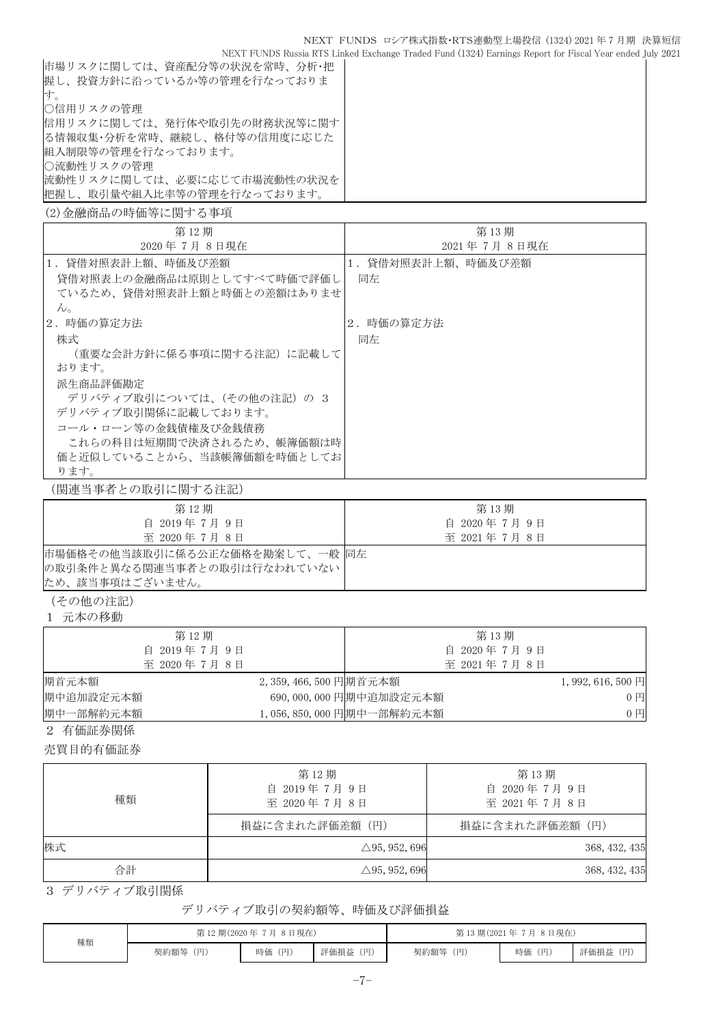NEXT FUNDS Russia RTS Linked Exchange Traded Fund (1324) Earnings Report for Fiscal Year ended July 2021

| 市場リスクに関しては、資産配分等の状況を常時、分析・把 |  |
|-----------------------------|--|
| 握し、投資方針に沿っているか等の管理を行なっておりま  |  |
| 寸。                          |  |
| ○信用リスクの管理                   |  |
| 信用リスクに関しては、発行体や取引先の財務状況等に関す |  |
| る情報収集・分析を常時、継続し、格付等の信用度に応じた |  |
| 組入制限等の管理を行なっております。          |  |
| ○流動性リスクの管理                  |  |
| 流動性リスクに関しては、必要に応じて市場流動性の状況を |  |
| 把握し、取引量や組入比率等の管理を行なっております。  |  |
| (2)金融商品の時価等に関する事項           |  |

| 第12期<br>2020年7月8日現在                                                                                                                                                                                               | 第13期<br>2021年7月8日現在     |
|-------------------------------------------------------------------------------------------------------------------------------------------------------------------------------------------------------------------|-------------------------|
| 1.貸借対照表計上額、時価及び差額<br>貸借対照表上の金融商品は原則としてすべて時価で評価し<br>ているため、貸借対照表計上額と時価との差額はありませ<br>$\lambda$ <sub>o</sub>                                                                                                           | 1.貸借対照表計上額、時価及び差額<br>同左 |
| 2.時価の算定方法<br>株式<br>(重要な会計方針に係る事項に関する注記)に記載して<br>おります。<br>派生商品評価勘定<br>デリバティブ取引については、(その他の注記) の 3<br>デリバティブ取引関係に記載しております。<br>コール・ローン等の金銭債権及び金銭債務<br>これらの科目は短期間で決済されるため、帳簿価額は時<br>価と近似していることから、当該帳簿価額を時価としてお<br>ります。 | 2.時価の算定方法<br>同左         |

(関連当事者との取引に関する注記)

| 第12期                          | 第13期        |
|-------------------------------|-------------|
| 自 2019年7月9日                   | 自 2020年7月9日 |
| 至 2020年7月8日                   | 至 2021年7月8日 |
| 市場価格その他当該取引に係る公正な価格を勘案して、一般同左 |             |
| の取引条件と異なる関連当事者との取引は行なわれていない   |             |
| ため、該当事項はございません。               |             |

(その他の注記)

1 元本の移動

| 第12期        |                         |                          | 第13期        |                   |
|-------------|-------------------------|--------------------------|-------------|-------------------|
| 自 2019年7月9日 |                         |                          | 自 2020年7月9日 |                   |
| 至 2020年7月8日 |                         |                          | 至 2021年7月8日 |                   |
| 期首元本額       | 2, 359, 466, 500 円期首元本額 |                          |             | $1,992,616,500$ 円 |
| 期中追加設定元本額   |                         | 690,000,000 円期中追加設定元本額   |             | 0 <sub>1</sub>    |
| 期中一部解約元本額   |                         | 1,056,850,000 円期中一部解約元本額 |             | 0 <sub>1</sub>    |

2 有価証券関係

売買目的有価証券

| 種類 | 第12期<br>自 2019年7月9日<br>至 2020年7月8日 | 第13期<br>自 2020年7月9日<br>至 2021年7月8日 |  |  |
|----|------------------------------------|------------------------------------|--|--|
|    | 損益に含まれた評価差額(円)                     | 損益に含まれた評価差額(円)                     |  |  |
| 株式 | $\triangle$ 95, 952, 696           | 368, 432, 435                      |  |  |
| 合計 | $\triangle$ 95, 952, 696           | 368, 432, 435                      |  |  |

3 デリバティブ取引関係

### デリバティブ取引の契約額等、時価及び評価損益

| 種類 | 第12期(2020年7月8日現在) |        |          | 第13期(2021年7月8日現在) |        |          |  |
|----|-------------------|--------|----------|-------------------|--------|----------|--|
|    | 契約額等 (円)          | 時価 (円) | 評価損益 (円) | 契約額等 (円)          | 時価 (円) | 評価損益 (円) |  |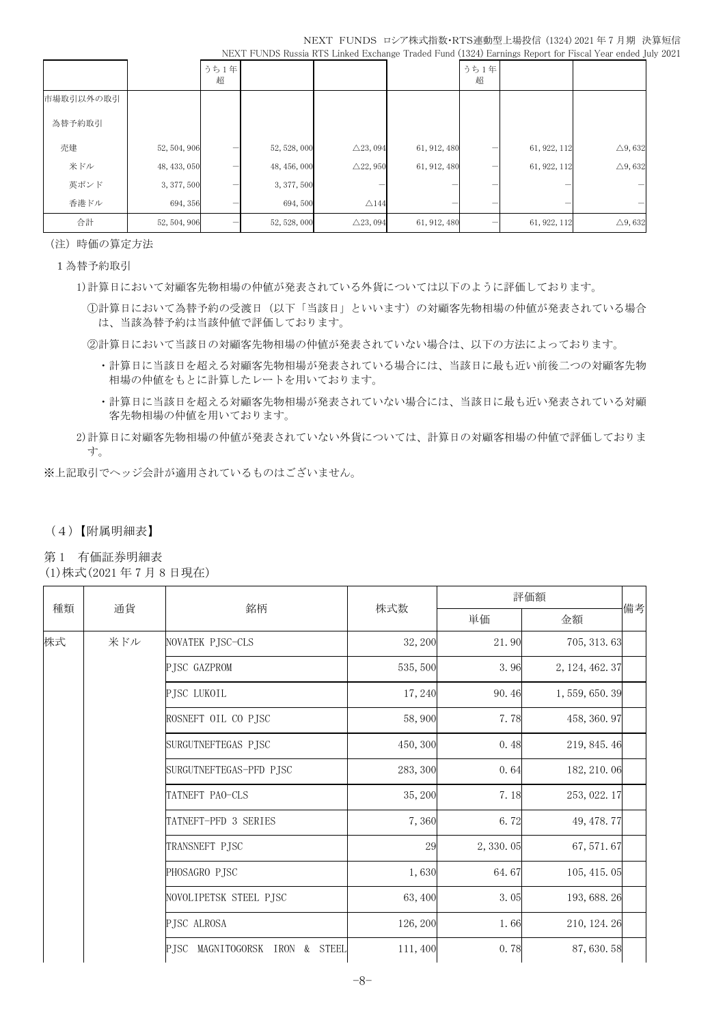|           |              | うち1年<br>超 |              |                     |              | うち1年<br>超 |              |                   |
|-----------|--------------|-----------|--------------|---------------------|--------------|-----------|--------------|-------------------|
| 市場取引以外の取引 |              |           |              |                     |              |           |              |                   |
| 為替予約取引    |              |           |              |                     |              |           |              |                   |
| 売建        | 52, 504, 906 |           | 52, 528, 000 | $\triangle$ 23, 094 | 61, 912, 480 |           | 61, 922, 112 | $\triangle$ 9,632 |
| 米ドル       | 48, 433, 050 |           | 48, 456, 000 | $\triangle$ 22, 950 | 61, 912, 480 |           | 61, 922, 112 | $\triangle$ 9,632 |
| 英ポンド      | 3, 377, 500  |           | 3, 377, 500  |                     |              |           |              |                   |
| 香港ドル      | 694, 356     |           | 694,500      | $\triangle$ 144     |              |           |              |                   |
| 合計        | 52, 504, 906 |           | 52, 528, 000 | $\triangle$ 23, 094 | 61, 912, 480 |           | 61, 922, 112 | $\triangle$ 9,632 |

(注)時価の算定方法

1為替予約取引

1)計算日において対顧客先物相場の仲値が発表されている外貨については以下のように評価しております。

①計算日において為替予約の受渡日(以下「当該日」といいます)の対顧客先物相場の仲値が発表されている場合 は、当該為替予約は当該仲値で評価しております。

②計算日において当該日の対顧客先物相場の仲値が発表されていない場合は、以下の方法によっております。

- ・計算日に当該日を超える対顧客先物相場が発表されている場合には、当該日に最も近い前後二つの対顧客先物 相場の仲値をもとに計算したレートを用いております。
- ・計算日に当該日を超える対顧客先物相場が発表されていない場合には、当該日に最も近い発表されている対顧 客先物相場の仲値を用いております。
- 2)計算日に対顧客先物相場の仲値が発表されていない外貨については、計算日の対顧客相場の仲値で評価しておりま す。

※上記取引でヘッジ会計が適用されているものはございません。

### (4)【附属明細表】

第 1 有価証券明細表

(1)株式(2021 年 7 月 8 日現在)

| 種類<br>通貨 |                     | 銘柄                                   |          |             | 評価額             |    |
|----------|---------------------|--------------------------------------|----------|-------------|-----------------|----|
|          |                     |                                      | 株式数      | 単価          | 金額              | 備考 |
| 株式       | 米ドル                 | NOVATEK PJSC-CLS                     | 32, 200  | 21.90       | 705, 313.63     |    |
|          |                     | PJSC GAZPROM                         | 535, 500 | 3.96        | 2, 124, 462. 37 |    |
|          |                     | PJSC LUKOIL                          | 17,240   | 90.46       | 1, 559, 650. 39 |    |
|          |                     | ROSNEFT OIL CO PJSC                  | 58,900   | 7.78        | 458, 360.97     |    |
|          | SURGUTNEFTEGAS PJSC | 450, 300                             | 0.48     | 219, 845.46 |                 |    |
|          |                     | SURGUTNEFTEGAS-PFD PJSC              | 283, 300 | 0.64        | 182, 210.06     |    |
|          |                     | TATNEFT PAO-CLS                      | 35, 200  | 7.18        | 253, 022.17     |    |
|          |                     | TATNEFT-PFD 3 SERIES                 | 7,360    | 6.72        | 49, 478. 77     |    |
|          | TRANSNEFT PJSC      |                                      | 29       | 2, 330.05   | 67, 571.67      |    |
|          |                     | PHOSAGRO PJSC                        | 1,630    | 64.67       | 105, 415.05     |    |
|          |                     | NOVOLIPETSK STEEL PJSC               | 63,400   | 3.05        | 193, 688. 26    |    |
|          |                     | PJSC ALROSA                          | 126, 200 | 1.66        | 210, 124. 26    |    |
|          |                     | PJSC MAGNITOGORSK<br>& STEEL<br>IRON | 111,400  | 0.78        | 87, 630.58      |    |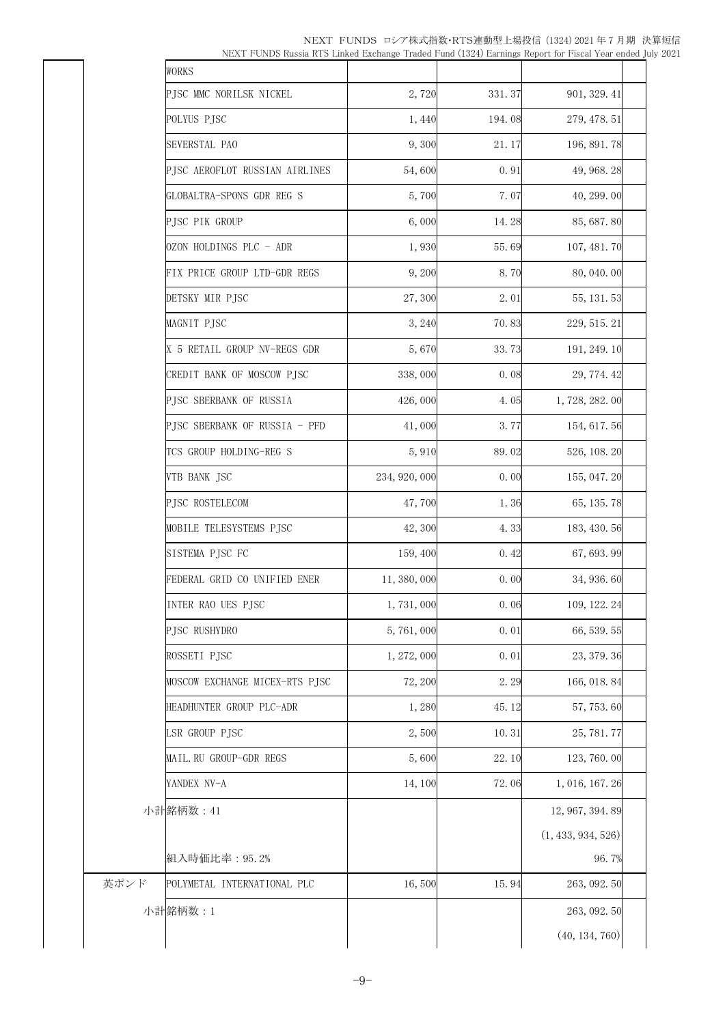| NEXT FUNDS ロシア株式指数・RTS連動型上場投信 (1324)2021年7月期 決算短信                                                        |  |
|----------------------------------------------------------------------------------------------------------|--|
| NEXT FUNDS Russia RTS Linked Exchange Traded Fund (1324) Earnings Report for Fiscal Year ended July 2021 |  |

|      | WORKS                          |               |        |                    |  |
|------|--------------------------------|---------------|--------|--------------------|--|
|      | PJSC MMC NORILSK NICKEL        | 2,720         | 331.37 | 901, 329.41        |  |
|      | POLYUS PJSC                    | 1,440         | 194.08 | 279, 478. 51       |  |
|      | SEVERSTAL PAO                  | 9,300         | 21.17  | 196, 891.78        |  |
|      | PJSC AEROFLOT RUSSIAN AIRLINES | 54,600        | 0.91   | 49, 968. 28        |  |
|      | GLOBALTRA-SPONS GDR REG S      | 5,700         | 7.07   | 40, 299.00         |  |
|      | PJSC PIK GROUP                 | 6,000         | 14.28  | 85, 687.80         |  |
|      | OZON HOLDINGS PLC - ADR        | 1,930         | 55.69  | 107, 481.70        |  |
|      | FIX PRICE GROUP LTD-GDR REGS   | 9,200         | 8.70   | 80, 040. 00        |  |
|      | DETSKY MIR PJSC                | 27,300        | 2.01   | 55, 131. 53        |  |
|      | MAGNIT PJSC                    | 3,240         | 70.83  | 229, 515. 21       |  |
|      | X 5 RETAIL GROUP NV-REGS GDR   | 5,670         | 33.73  | 191, 249. 10       |  |
|      | CREDIT BANK OF MOSCOW PJSC     | 338,000       | 0.08   | 29, 774. 42        |  |
|      | PJSC SBERBANK OF RUSSIA        | 426,000       | 4.05   | 1,728,282.00       |  |
|      | PJSC SBERBANK OF RUSSIA - PFD  | 41,000        | 3.77   | 154, 617. 56       |  |
|      | TCS GROUP HOLDING-REG S        | 5,910         | 89.02  | 526, 108. 20       |  |
|      | VTB BANK JSC                   | 234, 920, 000 | 0.00   | 155, 047. 20       |  |
|      | PJSC ROSTELECOM                | 47,700        | 1.36   | 65, 135.78         |  |
|      | MOBILE TELESYSTEMS PJSC        | 42,300        | 4.33   | 183, 430. 56       |  |
|      | SISTEMA PJSC FC                | 159, 400      | 0.42   | 67, 693.99         |  |
|      | FEDERAL GRID CO UNIFIED ENER   | 11, 380, 000  | 0.00   | 34, 936.60         |  |
|      | INTER RAO UES PJSC             | 1,731,000     | $0.06$ | 109, 122.24        |  |
|      | PJSC RUSHYDRO                  | 5,761,000     | 0.01   | 66, 539. 55        |  |
|      | ROSSETI PJSC                   | 1, 272, 000   | 0.01   | 23, 379.36         |  |
|      | MOSCOW EXCHANGE MICEX-RTS PJSC | 72, 200       | 2.29   | 166, 018.84        |  |
|      | HEADHUNTER GROUP PLC-ADR       | 1,280         | 45.12  | 57, 753.60         |  |
|      | LSR GROUP PJSC                 | 2,500         | 10.31  | 25, 781.77         |  |
|      | MAIL.RU GROUP-GDR REGS         | 5,600         | 22.10  | 123, 760.00        |  |
|      | YANDEX NV-A                    | 14, 100       | 72.06  | 1, 016, 167. 26    |  |
|      | 小計銘柄数: 41                      |               |        | 12, 967, 394. 89   |  |
|      |                                |               |        | (1, 433, 934, 526) |  |
|      | 組入時価比率: 95.2%                  |               |        | 96.7%              |  |
| 英ポンド | POLYMETAL INTERNATIONAL PLC    | 16,500        | 15.94  | 263, 092.50        |  |
|      | 小計銘柄数:1                        |               |        | 263, 092.50        |  |
|      |                                |               |        | (40, 134, 760)     |  |